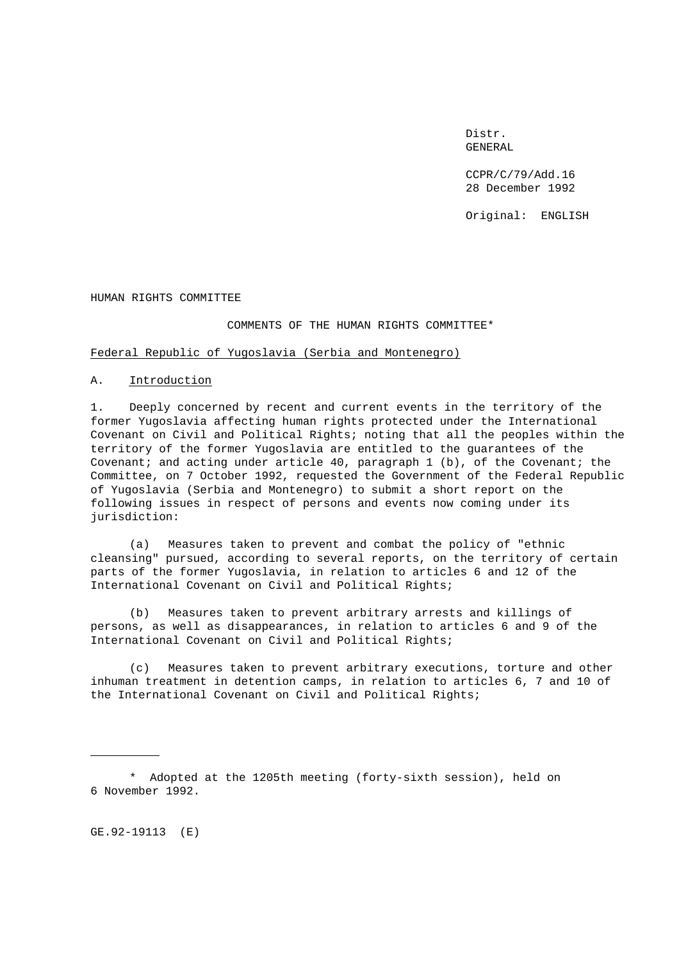Distr. GENERAL

CCPR/C/79/Add.16 28 December 1992

Original: ENGLISH

HUMAN RIGHTS COMMITTEE

#### COMMENTS OF THE HUMAN RIGHTS COMMITTEE\*

## Federal Republic of Yugoslavia (Serbia and Montenegro)

### A. Introduction

1. Deeply concerned by recent and current events in the territory of the former Yugoslavia affecting human rights protected under the International Covenant on Civil and Political Rights; noting that all the peoples within the territory of the former Yugoslavia are entitled to the guarantees of the Covenant; and acting under article 40, paragraph 1 (b), of the Covenant; the Committee, on 7 October 1992, requested the Government of the Federal Republic of Yugoslavia (Serbia and Montenegro) to submit a short report on the following issues in respect of persons and events now coming under its jurisdiction:

(a) Measures taken to prevent and combat the policy of "ethnic cleansing" pursued, according to several reports, on the territory of certain parts of the former Yugoslavia, in relation to articles 6 and 12 of the International Covenant on Civil and Political Rights;

(b) Measures taken to prevent arbitrary arrests and killings of persons, as well as disappearances, in relation to articles 6 and 9 of the International Covenant on Civil and Political Rights;

(c) Measures taken to prevent arbitrary executions, torture and other inhuman treatment in detention camps, in relation to articles 6, 7 and 10 of the International Covenant on Civil and Political Rights;

GE.92-19113 (E)

<sup>\*</sup> Adopted at the 1205th meeting (forty-sixth session), held on 6 November 1992.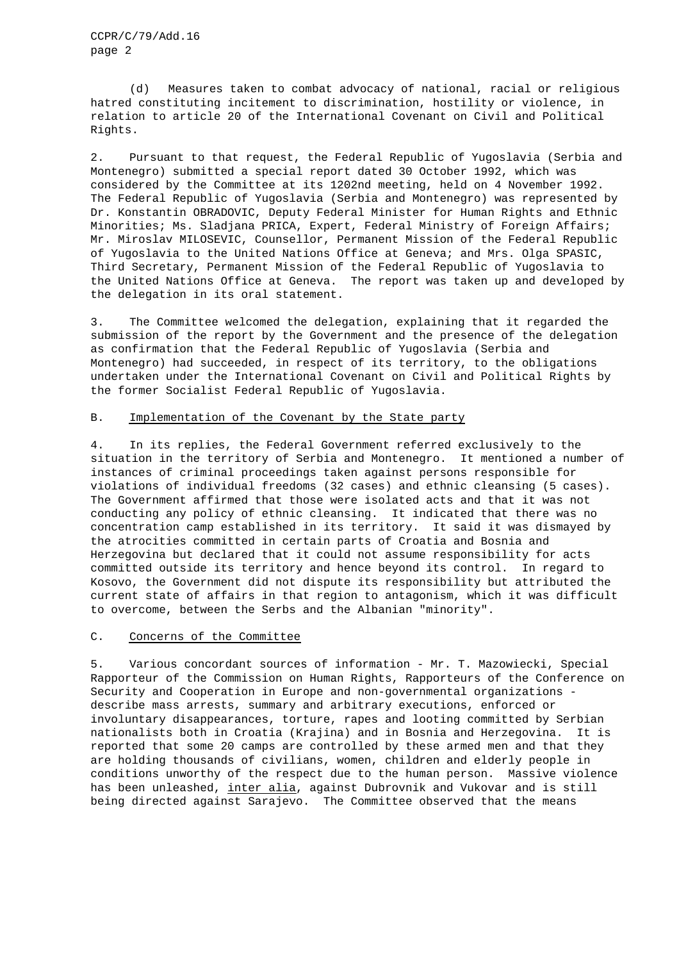CCPR/C/79/Add.16 page 2

(d) Measures taken to combat advocacy of national, racial or religious hatred constituting incitement to discrimination, hostility or violence, in relation to article 20 of the International Covenant on Civil and Political Rights.

2. Pursuant to that request, the Federal Republic of Yugoslavia (Serbia and Montenegro) submitted a special report dated 30 October 1992, which was considered by the Committee at its 1202nd meeting, held on 4 November 1992. The Federal Republic of Yugoslavia (Serbia and Montenegro) was represented by Dr. Konstantin OBRADOVIC, Deputy Federal Minister for Human Rights and Ethnic Minorities; Ms. Sladjana PRICA, Expert, Federal Ministry of Foreign Affairs; Mr. Miroslav MILOSEVIC, Counsellor, Permanent Mission of the Federal Republic of Yugoslavia to the United Nations Office at Geneva; and Mrs. Olga SPASIC, Third Secretary, Permanent Mission of the Federal Republic of Yugoslavia to the United Nations Office at Geneva. The report was taken up and developed by the delegation in its oral statement.

3. The Committee welcomed the delegation, explaining that it regarded the submission of the report by the Government and the presence of the delegation as confirmation that the Federal Republic of Yugoslavia (Serbia and Montenegro) had succeeded, in respect of its territory, to the obligations undertaken under the International Covenant on Civil and Political Rights by the former Socialist Federal Republic of Yugoslavia.

# B. Implementation of the Covenant by the State party

4. In its replies, the Federal Government referred exclusively to the situation in the territory of Serbia and Montenegro. It mentioned a number of instances of criminal proceedings taken against persons responsible for violations of individual freedoms (32 cases) and ethnic cleansing (5 cases). The Government affirmed that those were isolated acts and that it was not conducting any policy of ethnic cleansing. It indicated that there was no concentration camp established in its territory. It said it was dismayed by the atrocities committed in certain parts of Croatia and Bosnia and Herzegovina but declared that it could not assume responsibility for acts committed outside its territory and hence beyond its control. In regard to Kosovo, the Government did not dispute its responsibility but attributed the current state of affairs in that region to antagonism, which it was difficult to overcome, between the Serbs and the Albanian "minority".

### C. Concerns of the Committee

5. Various concordant sources of information - Mr. T. Mazowiecki, Special Rapporteur of the Commission on Human Rights, Rapporteurs of the Conference on Security and Cooperation in Europe and non-governmental organizations describe mass arrests, summary and arbitrary executions, enforced or involuntary disappearances, torture, rapes and looting committed by Serbian nationalists both in Croatia (Krajina) and in Bosnia and Herzegovina. It is reported that some 20 camps are controlled by these armed men and that they are holding thousands of civilians, women, children and elderly people in conditions unworthy of the respect due to the human person. Massive violence has been unleashed, inter alia, against Dubrovnik and Vukovar and is still being directed against Sarajevo. The Committee observed that the means